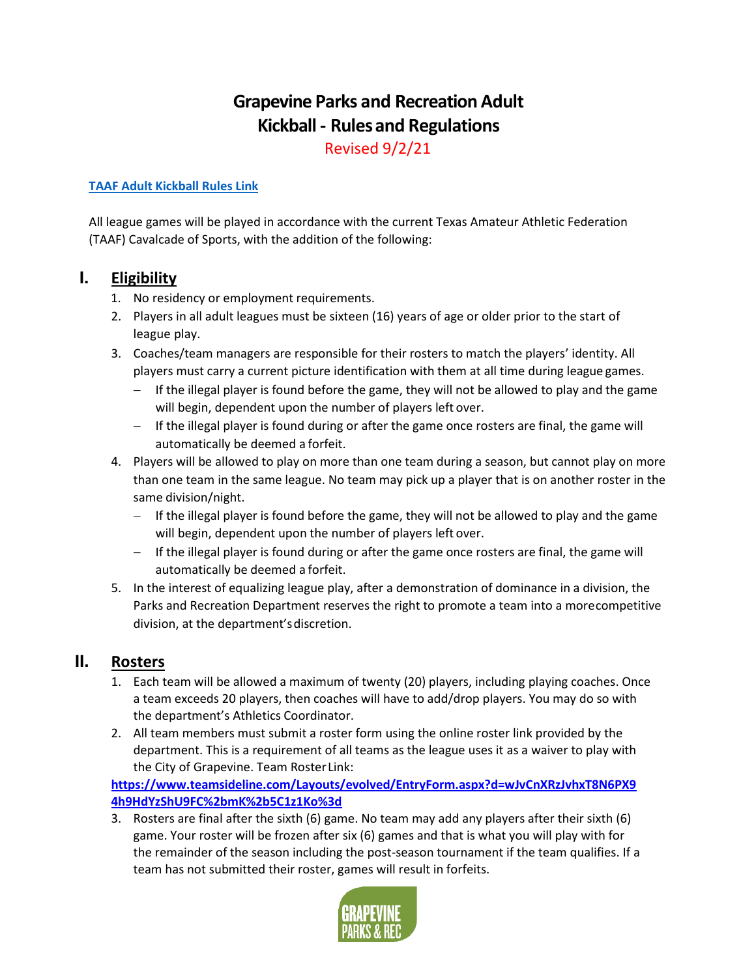# **Grapevine Parks and Recreation Adult Kickball - Rulesand Regulations**

Revised 9/2/21

#### **[TAAF Adult Kickball Rules Link](http://www.taaf.com/proxy/files/documents/Cavalcade%20of%20Sports/2019/Sports%20Rules/Kickball%20Rules%202019.pdf)**

All league games will be played in accordance with the current Texas Amateur Athletic Federation (TAAF) Cavalcade of Sports, with the addition of the following:

### **I. Eligibility**

- 1. No residency or employment requirements.
- 2. Players in all adult leagues must be sixteen (16) years of age or older prior to the start of league play.
- 3. Coaches/team managers are responsible for their rosters to match the players' identity. All players must carry a current picture identification with them at all time during league games.
	- $-$  If the illegal player is found before the game, they will not be allowed to play and the game will begin, dependent upon the number of players left over.
	- If the illegal player is found during or after the game once rosters are final, the game will automatically be deemed a forfeit.
- 4. Players will be allowed to play on more than one team during a season, but cannot play on more than one team in the same league. No team may pick up a player that is on another roster in the same division/night.
	- $-$  If the illegal player is found before the game, they will not be allowed to play and the game will begin, dependent upon the number of players left over.
	- $-$  If the illegal player is found during or after the game once rosters are final, the game will automatically be deemed a forfeit.
- 5. In the interest of equalizing league play, after a demonstration of dominance in a division, the Parks and Recreation Department reserves the right to promote a team into a morecompetitive division, at the department'sdiscretion.

### **II. Rosters**

- 1. Each team will be allowed a maximum of twenty (20) players, including playing coaches. Once a team exceeds 20 players, then coaches will have to add/drop players. You may do so with the department's Athletics Coordinator.
- 2. All team members must submit a roster form using the online roster link provided by the department. This is a requirement of all teams as the league uses it as a waiver to play with the City of Grapevine. Team Roster Link:

**[https://www.teamsideline.com/Layouts/evolved/EntryForm.aspx?d=wJvCnXRzJvhxT8N6PX9](https://www.teamsideline.com/Layouts/evolved/EntryForm.aspx?d=wJvCnXRzJvhxT8N6PX94h9HdYzShU9FC%2bmK%2b5C1z1Ko%3d) [4h9HdYzShU9FC%2bmK%2b5C1z1Ko%3d](https://www.teamsideline.com/Layouts/evolved/EntryForm.aspx?d=wJvCnXRzJvhxT8N6PX94h9HdYzShU9FC%2bmK%2b5C1z1Ko%3d)**

3. Rosters are final after the sixth (6) game. No team may add any players after their sixth (6) game. Your roster will be frozen after six (6) games and that is what you will play with for the remainder of the season including the post-season tournament if the team qualifies. If a team has not submitted their roster, games will result in forfeits.

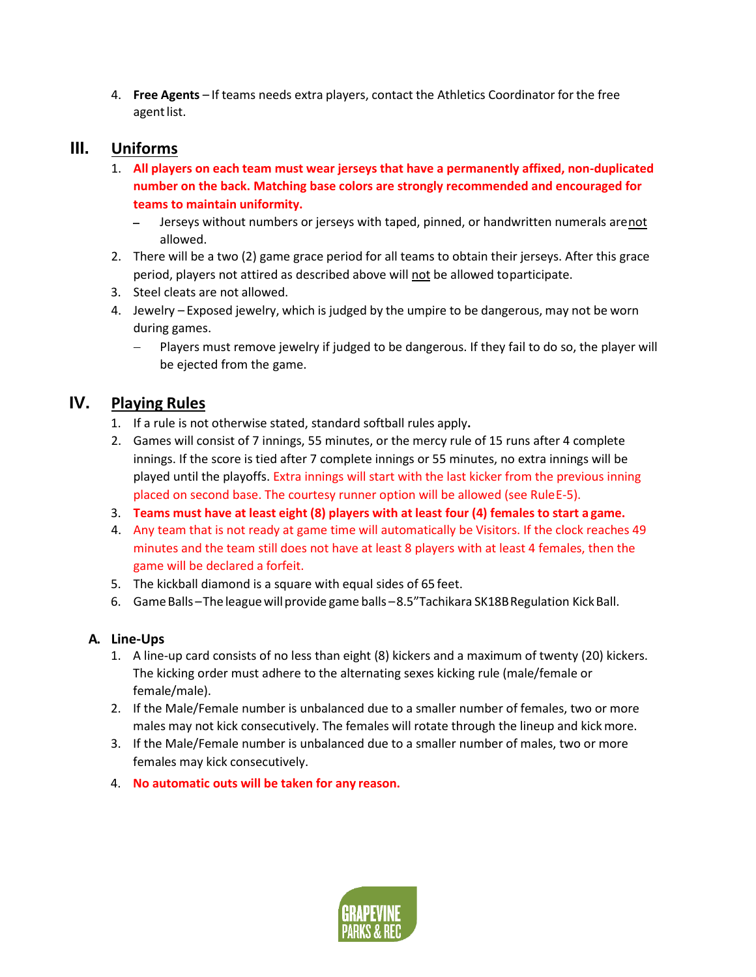4. **Free Agents** – If teams needs extra players, contact the Athletics Coordinator for the free agent list.

### **III. Uniforms**

- 1. **All players on each team must wear jerseys that have a permanently affixed, non-duplicated number on the back. Matching base colors are strongly recommended and encouraged for teams to maintain uniformity.**
	- Jerseys without numbers or jerseys with taped, pinned, or handwritten numerals arenot allowed.
- 2. There will be a two (2) game grace period for all teams to obtain their jerseys. After this grace period, players not attired as described above will not be allowed toparticipate.
- 3. Steel cleats are not allowed.
- 4. Jewelry Exposed jewelry, which is judged by the umpire to be dangerous, may not be worn during games.
	- Players must remove jewelry if judged to be dangerous. If they fail to do so, the player will be ejected from the game.

### **IV. Playing Rules**

- 1. If a rule is not otherwise stated, standard softball rules apply**.**
- 2. Games will consist of 7 innings, 55 minutes, or the mercy rule of 15 runs after 4 complete innings. If the score is tied after 7 complete innings or 55 minutes, no extra innings will be played until the playoffs. Extra innings will start with the last kicker from the previous inning placed on second base. The courtesy runner option will be allowed (see RuleE-5).
- 3. **Teams must have at least eight (8) players with at least four (4) females to start a game.**
- 4. Any team that is not ready at game time will automatically be Visitors. If the clock reaches 49 minutes and the team still does not have at least 8 players with at least 4 females, then the game will be declared a forfeit.
- 5. The kickball diamond is a square with equal sides of 65 feet.
- 6. GameBalls –The leaguewillprovide game balls –8.5"Tachikara SK18BRegulation KickBall.

#### **A. Line-Ups**

- 1. A line-up card consists of no less than eight (8) kickers and a maximum of twenty (20) kickers. The kicking order must adhere to the alternating sexes kicking rule (male/female or female/male).
- 2. If the Male/Female number is unbalanced due to a smaller number of females, two or more males may not kick consecutively. The females will rotate through the lineup and kickmore.
- 3. If the Male/Female number is unbalanced due to a smaller number of males, two or more females may kick consecutively.
- 4. **No automatic outs will be taken for any reason.**

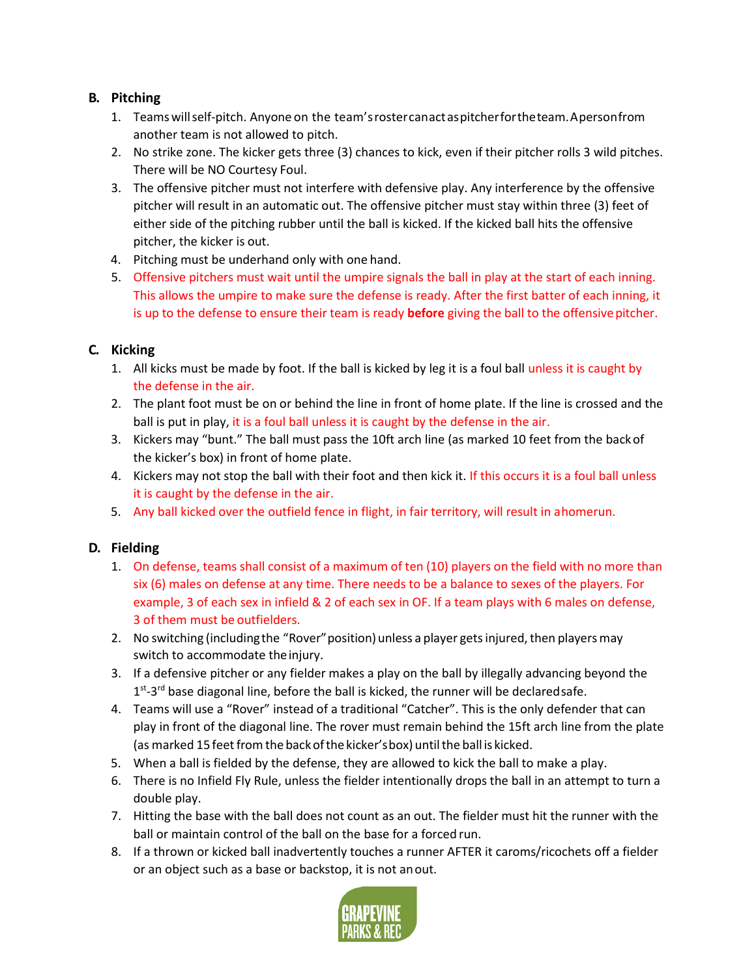#### **B. Pitching**

- 1. Teamswillself-pitch. Anyone on the team'srostercanactaspitcherfortheteam.Apersonfrom another team is not allowed to pitch.
- 2. No strike zone. The kicker gets three (3) chances to kick, even if their pitcher rolls 3 wild pitches. There will be NO Courtesy Foul.
- 3. The offensive pitcher must not interfere with defensive play. Any interference by the offensive pitcher will result in an automatic out. The offensive pitcher must stay within three (3) feet of either side of the pitching rubber until the ball is kicked. If the kicked ball hits the offensive pitcher, the kicker is out.
- 4. Pitching must be underhand only with one hand.
- 5. Offensive pitchers must wait until the umpire signals the ball in play at the start of each inning. This allows the umpire to make sure the defense is ready. After the first batter of each inning, it is up to the defense to ensure their team is ready **before** giving the ball to the offensivepitcher.

#### **C. Kicking**

- 1. All kicks must be made by foot. If the ball is kicked by leg it is a foul ball unless it is caught by the defense in the air.
- 2. The plant foot must be on or behind the line in front of home plate. If the line is crossed and the ball is put in play, it is a foul ball unless it is caught by the defense in the air.
- 3. Kickers may "bunt." The ball must pass the 10ft arch line (as marked 10 feet from the backof the kicker's box) in front of home plate.
- 4. Kickers may not stop the ball with their foot and then kick it. If this occurs it is a foul ball unless it is caught by the defense in the air.
- 5. Any ball kicked over the outfield fence in flight, in fair territory, will result in ahomerun.

#### **D. Fielding**

- 1. On defense, teams shall consist of a maximum of ten (10) players on the field with no more than six (6) males on defense at any time. There needs to be a balance to sexes of the players. For example, 3 of each sex in infield & 2 of each sex in OF. If a team plays with 6 males on defense, 3 of them must be outfielders.
- 2. No switching (including the "Rover" position) unless a player gets injured, then players may switch to accommodate the injury.
- 3. If a defensive pitcher or any fielder makes a play on the ball by illegally advancing beyond the  $1<sup>st</sup>$ -3<sup>rd</sup> base diagonal line, before the ball is kicked, the runner will be declaredsafe.
- 4. Teams will use a "Rover" instead of a traditional "Catcher". This is the only defender that can play in front of the diagonal line. The rover must remain behind the 15ft arch line from the plate (as marked 15 feet from the back of the kicker's box) until the ball is kicked.
- 5. When a ball is fielded by the defense, they are allowed to kick the ball to make a play.
- 6. There is no Infield Fly Rule, unless the fielder intentionally drops the ball in an attempt to turn a double play.
- 7. Hitting the base with the ball does not count as an out. The fielder must hit the runner with the ball or maintain control of the ball on the base for a forced run.
- 8. If a thrown or kicked ball inadvertently touches a runner AFTER it caroms/ricochets off a fielder or an object such as a base or backstop, it is not anout.

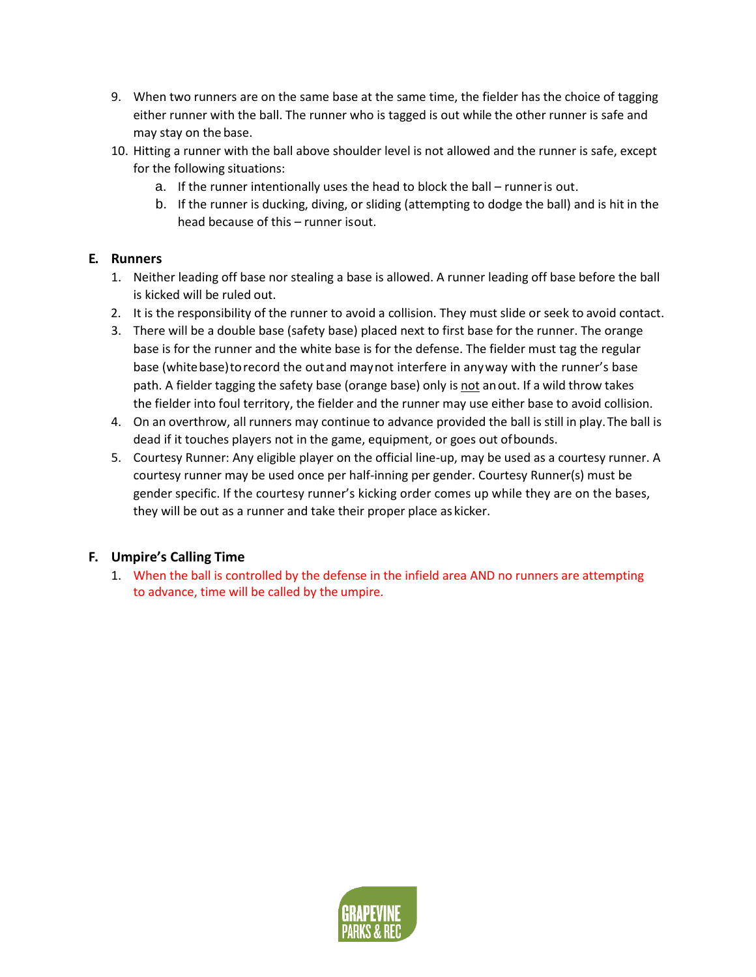- 9. When two runners are on the same base at the same time, the fielder has the choice of tagging either runner with the ball. The runner who is tagged is out while the other runner is safe and may stay on the base.
- 10. Hitting a runner with the ball above shoulder level is not allowed and the runner is safe, except for the following situations:
	- a. If the runner intentionally uses the head to block the ball runneris out.
	- b. If the runner is ducking, diving, or sliding (attempting to dodge the ball) and is hit in the head because of this – runner isout.

#### **E. Runners**

- 1. Neither leading off base nor stealing a base is allowed. A runner leading off base before the ball is kicked will be ruled out.
- 2. It is the responsibility of the runner to avoid a collision. They must slide or seek to avoid contact.
- 3. There will be a double base (safety base) placed next to first base for the runner. The orange base is for the runner and the white base is for the defense. The fielder must tag the regular base (white base) to record the out and may not interfere in anyway with the runner's base path. A fielder tagging the safety base (orange base) only is not anout. If a wild throw takes the fielder into foul territory, the fielder and the runner may use either base to avoid collision.
- 4. On an overthrow, all runners may continue to advance provided the ball is still in play.The ball is dead if it touches players not in the game, equipment, or goes out ofbounds.
- 5. Courtesy Runner: Any eligible player on the official line-up, may be used as a courtesy runner. A courtesy runner may be used once per half-inning per gender. Courtesy Runner(s) must be gender specific. If the courtesy runner's kicking order comes up while they are on the bases, they will be out as a runner and take their proper place as kicker.

#### **F. Umpire's Calling Time**

1. When the ball is controlled by the defense in the infield area AND no runners are attempting to advance, time will be called by the umpire.

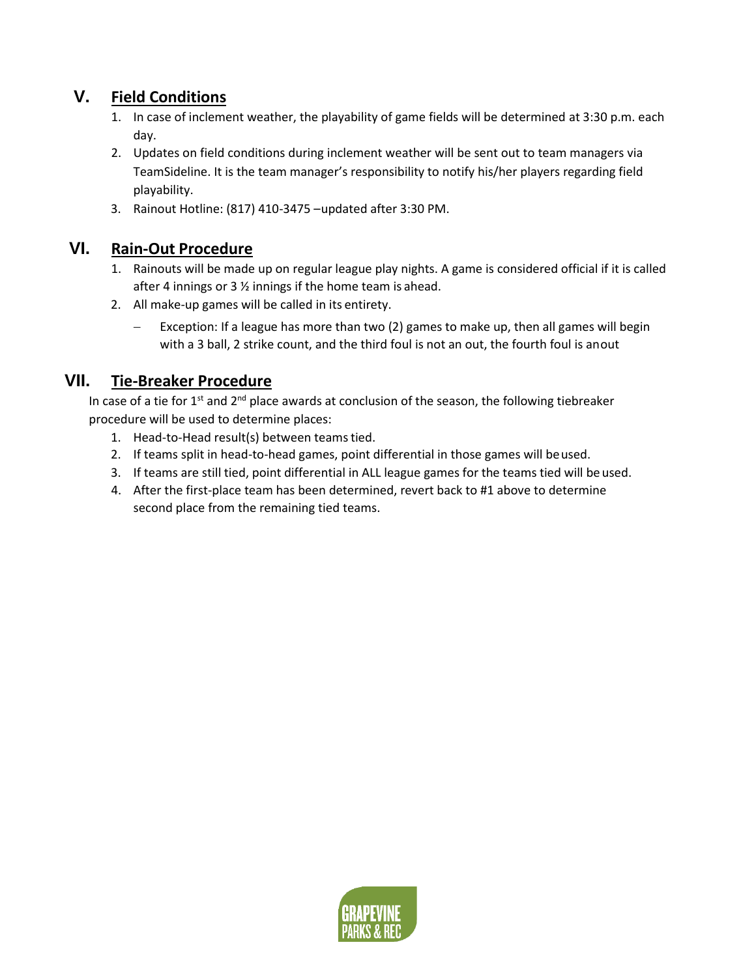# **V. Field Conditions**

- 1. In case of inclement weather, the playability of game fields will be determined at 3:30 p.m. each day.
- 2. Updates on field conditions during inclement weather will be sent out to team managers via TeamSideline. It is the team manager's responsibility to notify his/her players regarding field playability.
- 3. Rainout Hotline: (817) 410-3475 –updated after 3:30 PM.

### **VI. Rain-Out Procedure**

- 1. Rainouts will be made up on regular league play nights. A game is considered official if it is called after 4 innings or 3 ½ innings if the home team is ahead.
- 2. All make-up games will be called in its entirety.
	- Exception: If a league has more than two (2) games to make up, then all games will begin with a 3 ball, 2 strike count, and the third foul is not an out, the fourth foul is anout

### **VII. Tie-Breaker Procedure**

In case of a tie for  $1^{st}$  and  $2^{nd}$  place awards at conclusion of the season, the following tiebreaker procedure will be used to determine places:

- 1. Head-to-Head result(s) between teamstied.
- 2. If teams split in head-to-head games, point differential in those games will beused.
- 3. If teams are still tied, point differential in ALL league games for the teams tied will be used.
- 4. After the first-place team has been determined, revert back to #1 above to determine second place from the remaining tied teams.

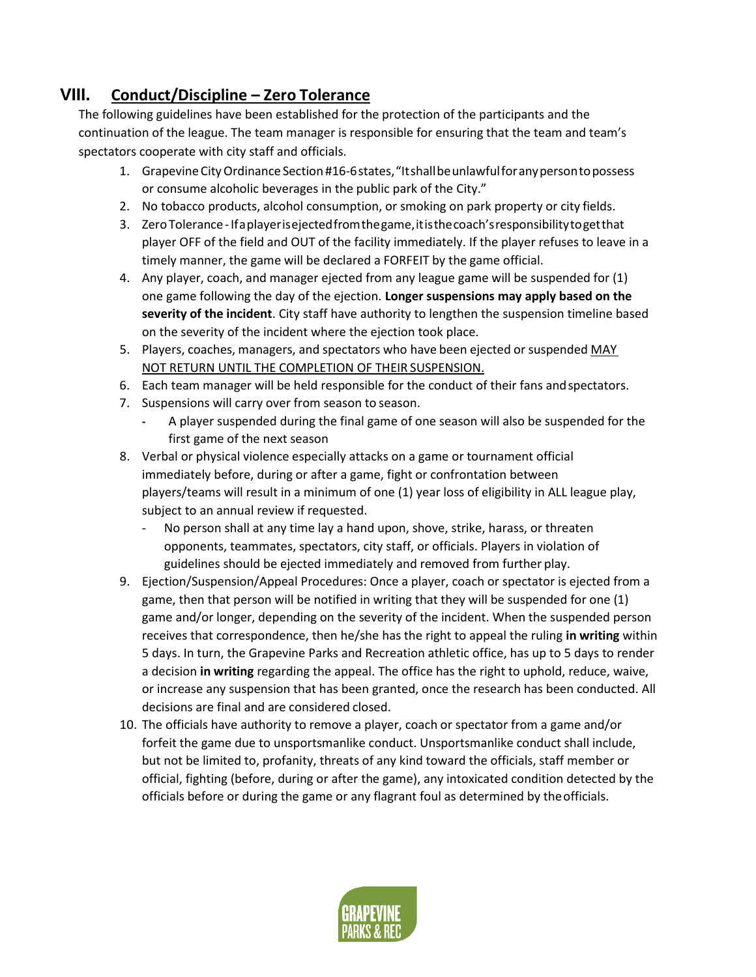## **VIII. Conduct/Discipline – Zero Tolerance**

The following guidelines have been established for the protection of the participants and the continuation of the league. The team manager is responsible for ensuring that the team and team's spectators cooperate with city staff and officials.

- 1. GrapevineCityOrdinance Section #16-6states,"Itshallbeunlawfulforanypersontopossess or consume alcoholic beverages in the public park of the City."
- 2. No tobacco products, alcohol consumption, or smoking on park property or city fields.
- 3. ZeroTolerance-Ifaplayerisejectedfromthegame,itisthecoach'sresponsibilitytogetthat player OFF of the field and OUT of the facility immediately. If the player refuses to leave in a timely manner, the game will be declared a FORFEIT by the game official.
- 4. Any player, coach, and manager ejected from any league game will be suspended for (1) one game following the day of the ejection. **Longer suspensions may apply based on the severity of the incident**. City staff have authority to lengthen the suspension timeline based on the severity of the incident where the ejection took place.
- 5. Players, coaches, managers, and spectators who have been ejected orsuspended MAY NOT RETURN UNTIL THE COMPLETION OF THEIR SUSPENSION.
- 6. Each team manager will be held responsible for the conduct of their fans andspectators.
- 7. Suspensions will carry over from season to season.
	- **-** A player suspended during the final game of one season will also be suspended for the first game of the next season
- 8. Verbal or physical violence especially attacks on a game or tournament official immediately before, during or after a game, fight or confrontation between players/teams will result in a minimum of one (1) year loss of eligibility in ALL league play, subject to an annual review if requested.
	- No person shall at any time lay a hand upon, shove, strike, harass, or threaten opponents, teammates, spectators, city staff, or officials. Players in violation of guidelines should be ejected immediately and removed from further play.
- 9. Ejection/Suspension/Appeal Procedures: Once a player, coach or spectator is ejected from a game, then that person will be notified in writing that they will be suspended for one (1) game and/or longer, depending on the severity of the incident. When the suspended person receives that correspondence, then he/she has the right to appeal the ruling **in writing** within 5 days. In turn, the Grapevine Parks and Recreation athletic office, has up to 5 days to render a decision **in writing** regarding the appeal. The office has the right to uphold, reduce, waive, or increase any suspension that has been granted, once the research has been conducted. All decisions are final and are considered closed.
- 10. The officials have authority to remove a player, coach or spectator from a game and/or forfeit the game due to unsportsmanlike conduct. Unsportsmanlike conduct shall include, but not be limited to, profanity, threats of any kind toward the officials, staff member or official, fighting (before, during or after the game), any intoxicated condition detected by the officials before or during the game or any flagrant foul as determined by theofficials.